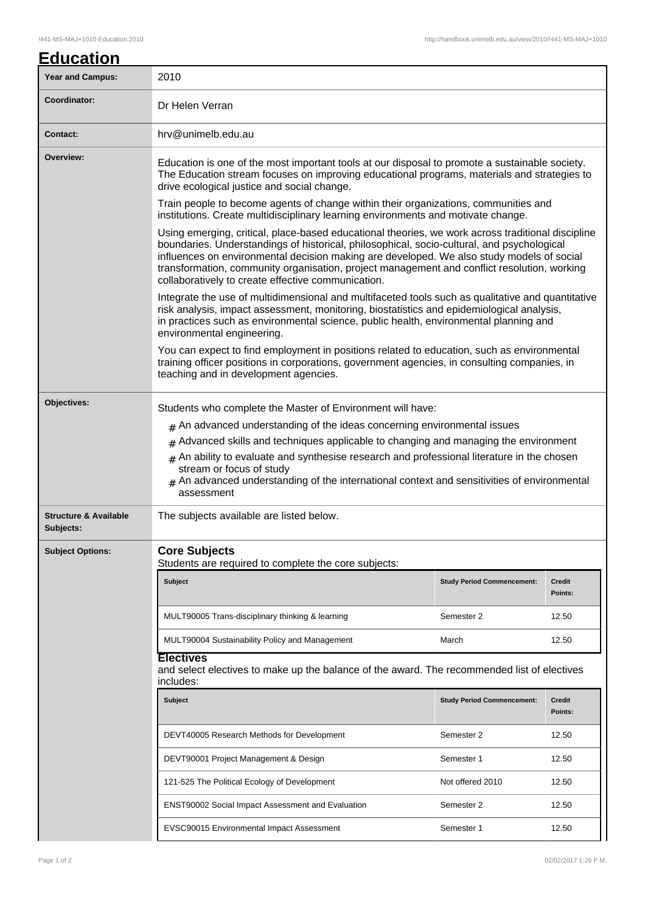| <b>Education</b> |  |
|------------------|--|
|                  |  |

| Year and Campus:                              | 2010                                                                                                                                                                                                                                                                                                                                                                                                                                                                                                                                                                                                                                                                                                                                                                                                                                                                                                                                                                                                              |                                   |                          |  |  |
|-----------------------------------------------|-------------------------------------------------------------------------------------------------------------------------------------------------------------------------------------------------------------------------------------------------------------------------------------------------------------------------------------------------------------------------------------------------------------------------------------------------------------------------------------------------------------------------------------------------------------------------------------------------------------------------------------------------------------------------------------------------------------------------------------------------------------------------------------------------------------------------------------------------------------------------------------------------------------------------------------------------------------------------------------------------------------------|-----------------------------------|--------------------------|--|--|
| Coordinator:                                  | Dr Helen Verran                                                                                                                                                                                                                                                                                                                                                                                                                                                                                                                                                                                                                                                                                                                                                                                                                                                                                                                                                                                                   |                                   |                          |  |  |
| <b>Contact:</b>                               | hrv@unimelb.edu.au                                                                                                                                                                                                                                                                                                                                                                                                                                                                                                                                                                                                                                                                                                                                                                                                                                                                                                                                                                                                |                                   |                          |  |  |
| Overview:                                     | Education is one of the most important tools at our disposal to promote a sustainable society.<br>The Education stream focuses on improving educational programs, materials and strategies to<br>drive ecological justice and social change.                                                                                                                                                                                                                                                                                                                                                                                                                                                                                                                                                                                                                                                                                                                                                                      |                                   |                          |  |  |
|                                               | Train people to become agents of change within their organizations, communities and<br>institutions. Create multidisciplinary learning environments and motivate change.                                                                                                                                                                                                                                                                                                                                                                                                                                                                                                                                                                                                                                                                                                                                                                                                                                          |                                   |                          |  |  |
|                                               | Using emerging, critical, place-based educational theories, we work across traditional discipline<br>boundaries. Understandings of historical, philosophical, socio-cultural, and psychological<br>influences on environmental decision making are developed. We also study models of social<br>transformation, community organisation, project management and conflict resolution, working<br>collaboratively to create effective communication.<br>Integrate the use of multidimensional and multifaceted tools such as qualitative and quantitative<br>risk analysis, impact assessment, monitoring, biostatistics and epidemiological analysis,<br>in practices such as environmental science, public health, environmental planning and<br>environmental engineering.<br>You can expect to find employment in positions related to education, such as environmental<br>training officer positions in corporations, government agencies, in consulting companies, in<br>teaching and in development agencies. |                                   |                          |  |  |
|                                               |                                                                                                                                                                                                                                                                                                                                                                                                                                                                                                                                                                                                                                                                                                                                                                                                                                                                                                                                                                                                                   |                                   |                          |  |  |
|                                               |                                                                                                                                                                                                                                                                                                                                                                                                                                                                                                                                                                                                                                                                                                                                                                                                                                                                                                                                                                                                                   |                                   |                          |  |  |
| Objectives:                                   | Students who complete the Master of Environment will have:                                                                                                                                                                                                                                                                                                                                                                                                                                                                                                                                                                                                                                                                                                                                                                                                                                                                                                                                                        |                                   |                          |  |  |
|                                               | $#$ An advanced understanding of the ideas concerning environmental issues                                                                                                                                                                                                                                                                                                                                                                                                                                                                                                                                                                                                                                                                                                                                                                                                                                                                                                                                        |                                   |                          |  |  |
|                                               | $#$ Advanced skills and techniques applicable to changing and managing the environment                                                                                                                                                                                                                                                                                                                                                                                                                                                                                                                                                                                                                                                                                                                                                                                                                                                                                                                            |                                   |                          |  |  |
|                                               | $#$ An ability to evaluate and synthesise research and professional literature in the chosen<br>stream or focus of study<br>$#$ An advanced understanding of the international context and sensitivities of environmental<br>assessment                                                                                                                                                                                                                                                                                                                                                                                                                                                                                                                                                                                                                                                                                                                                                                           |                                   |                          |  |  |
| <b>Structure &amp; Available</b><br>Subjects: | The subjects available are listed below.                                                                                                                                                                                                                                                                                                                                                                                                                                                                                                                                                                                                                                                                                                                                                                                                                                                                                                                                                                          |                                   |                          |  |  |
| <b>Subject Options:</b>                       | <b>Core Subjects</b><br>Students are required to complete the core subjects:                                                                                                                                                                                                                                                                                                                                                                                                                                                                                                                                                                                                                                                                                                                                                                                                                                                                                                                                      |                                   |                          |  |  |
|                                               | <b>Subject</b>                                                                                                                                                                                                                                                                                                                                                                                                                                                                                                                                                                                                                                                                                                                                                                                                                                                                                                                                                                                                    | <b>Study Period Commencement:</b> | <b>Credit</b><br>Points: |  |  |
|                                               | MULT90005 Trans-disciplinary thinking & learning                                                                                                                                                                                                                                                                                                                                                                                                                                                                                                                                                                                                                                                                                                                                                                                                                                                                                                                                                                  | Semester 2                        | 12.50                    |  |  |
|                                               | MULT90004 Sustainability Policy and Management                                                                                                                                                                                                                                                                                                                                                                                                                                                                                                                                                                                                                                                                                                                                                                                                                                                                                                                                                                    | March                             | 12.50                    |  |  |
|                                               | <b>Electives</b><br>and select electives to make up the balance of the award. The recommended list of electives<br>includes:                                                                                                                                                                                                                                                                                                                                                                                                                                                                                                                                                                                                                                                                                                                                                                                                                                                                                      |                                   |                          |  |  |
|                                               | <b>Subject</b>                                                                                                                                                                                                                                                                                                                                                                                                                                                                                                                                                                                                                                                                                                                                                                                                                                                                                                                                                                                                    | <b>Study Period Commencement:</b> | Credit<br>Points:        |  |  |
|                                               | DEVT40005 Research Methods for Development                                                                                                                                                                                                                                                                                                                                                                                                                                                                                                                                                                                                                                                                                                                                                                                                                                                                                                                                                                        | Semester 2                        | 12.50                    |  |  |
|                                               | DEVT90001 Project Management & Design                                                                                                                                                                                                                                                                                                                                                                                                                                                                                                                                                                                                                                                                                                                                                                                                                                                                                                                                                                             | Semester 1                        | 12.50                    |  |  |
|                                               | 121-525 The Political Ecology of Development                                                                                                                                                                                                                                                                                                                                                                                                                                                                                                                                                                                                                                                                                                                                                                                                                                                                                                                                                                      | Not offered 2010                  | 12.50                    |  |  |
|                                               | ENST90002 Social Impact Assessment and Evaluation                                                                                                                                                                                                                                                                                                                                                                                                                                                                                                                                                                                                                                                                                                                                                                                                                                                                                                                                                                 | Semester 2                        | 12.50                    |  |  |
|                                               | EVSC90015 Environmental Impact Assessment                                                                                                                                                                                                                                                                                                                                                                                                                                                                                                                                                                                                                                                                                                                                                                                                                                                                                                                                                                         | Semester 1                        | 12.50                    |  |  |